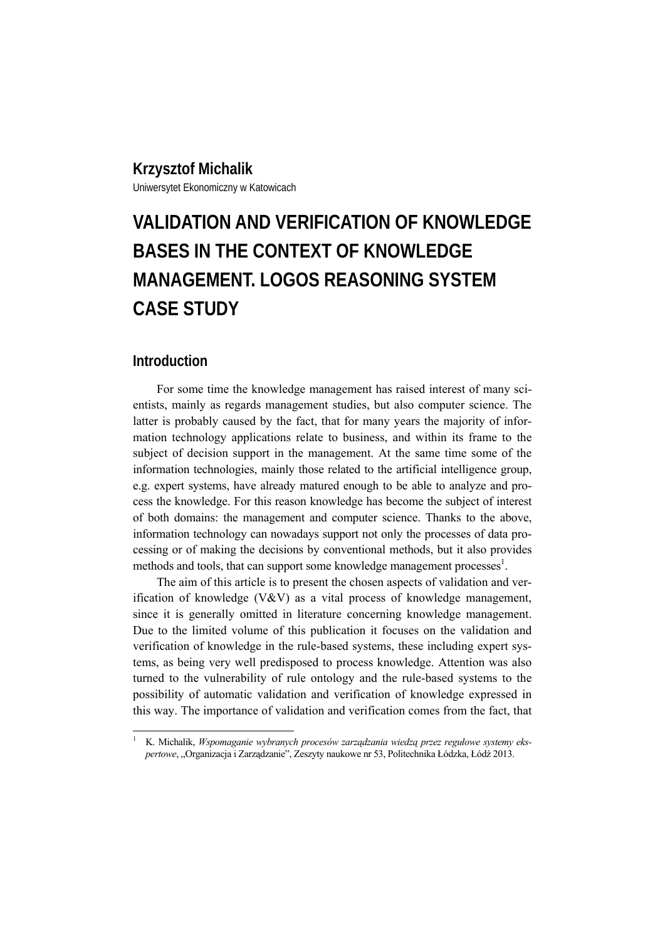# **Krzysztof Michalik**

Uniwersytet Ekonomiczny w Katowicach

# **VALIDATION AND VERIFICATION OF KNOWLEDGE BASES IN THE CONTEXT OF KNOWLEDGE MANAGEMENT. LOGOS REASONING SYSTEM CASE STUDY**

## **Introduction**

 $\overline{\phantom{a}}$ 

For some time the knowledge management has raised interest of many scientists, mainly as regards management studies, but also computer science. The latter is probably caused by the fact, that for many years the majority of information technology applications relate to business, and within its frame to the subject of decision support in the management. At the same time some of the information technologies, mainly those related to the artificial intelligence group, e.g. expert systems, have already matured enough to be able to analyze and process the knowledge. For this reason knowledge has become the subject of interest of both domains: the management and computer science. Thanks to the above, information technology can nowadays support not only the processes of data processing or of making the decisions by conventional methods, but it also provides methods and tools, that can support some knowledge management processes $<sup>1</sup>$ .</sup>

The aim of this article is to present the chosen aspects of validation and verification of knowledge (V&V) as a vital process of knowledge management, since it is generally omitted in literature concerning knowledge management. Due to the limited volume of this publication it focuses on the validation and verification of knowledge in the rule-based systems, these including expert systems, as being very well predisposed to process knowledge. Attention was also turned to the vulnerability of rule ontology and the rule-based systems to the possibility of automatic validation and verification of knowledge expressed in this way. The importance of validation and verification comes from the fact, that

<sup>1</sup> K. Michalik, *Wspomaganie wybranych procesów zarządzania wiedzą przez regułowe systemy ekspertowe*, "Organizacja i Zarządzanie", Zeszyty naukowe nr 53, Politechnika Łódzka, Łódź 2013.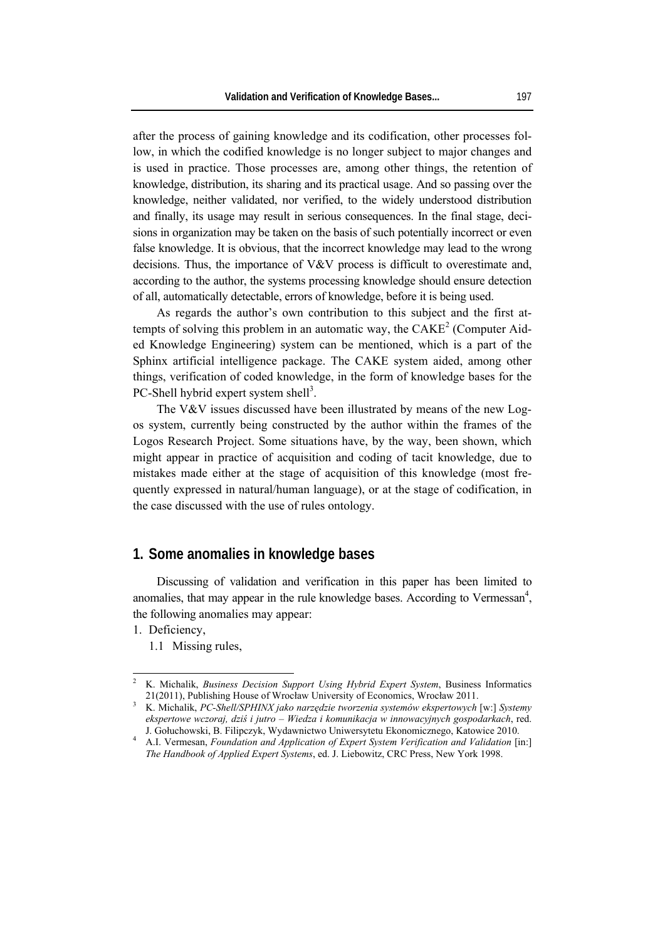after the process of gaining knowledge and its codification, other processes follow, in which the codified knowledge is no longer subject to major changes and is used in practice. Those processes are, among other things, the retention of knowledge, distribution, its sharing and its practical usage. And so passing over the knowledge, neither validated, nor verified, to the widely understood distribution and finally, its usage may result in serious consequences. In the final stage, decisions in organization may be taken on the basis of such potentially incorrect or even false knowledge. It is obvious, that the incorrect knowledge may lead to the wrong decisions. Thus, the importance of V&V process is difficult to overestimate and, according to the author, the systems processing knowledge should ensure detection of all, automatically detectable, errors of knowledge, before it is being used.

As regards the author's own contribution to this subject and the first attempts of solving this problem in an automatic way, the  $CAKE<sup>2</sup>$  (Computer Aided Knowledge Engineering) system can be mentioned, which is a part of the Sphinx artificial intelligence package. The CAKE system aided, among other things, verification of coded knowledge, in the form of knowledge bases for the PC-Shell hybrid expert system shell<sup>3</sup>.

The V&V issues discussed have been illustrated by means of the new Logos system, currently being constructed by the author within the frames of the Logos Research Project. Some situations have, by the way, been shown, which might appear in practice of acquisition and coding of tacit knowledge, due to mistakes made either at the stage of acquisition of this knowledge (most frequently expressed in natural/human language), or at the stage of codification, in the case discussed with the use of rules ontology.

# **1. Some anomalies in knowledge bases**

Discussing of validation and verification in this paper has been limited to anomalies, that may appear in the rule knowledge bases. According to Vermessan $4$ , the following anomalies may appear:

1. Deficiency,

 $\overline{\phantom{a}}$ 

1.1 Missing rules,

<sup>2</sup> K. Michalik, *Business Decision Support Using Hybrid Expert System*, Business Informatics 21(2011), Publishing House of Wrocław University of Economics, Wrocław 2011. 3

K. Michalik, *PC-Shell/SPHINX jako narzędzie tworzenia systemów ekspertowych* [w:] *Systemy ekspertowe wczoraj, dziś i jutro – Wiedza i komunikacja w innowacyjnych gospodarkach*, red. J. Gołuchowski, B. Filipczyk, Wydawnictwo Uniwersytetu Ekonomicznego, Katowice 2010. 4

A.I. Vermesan, *Foundation and Application of Expert System Verification and Validation* [in:] *The Handbook of Applied Expert Systems*, ed. J. Liebowitz, CRC Press, New York 1998.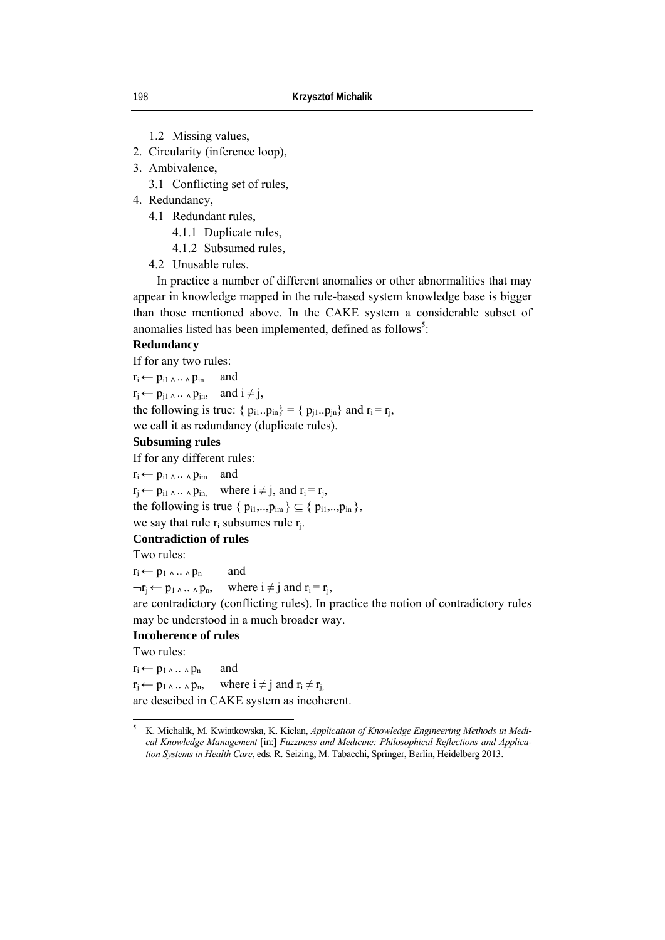1.2 Missing values,

2. Circularity (inference loop),

3. Ambivalence,

3.1 Conflicting set of rules,

- 4. Redundancy,
	- 4.1 Redundant rules,
		- 4.1.1 Duplicate rules,
		- 4.1.2 Subsumed rules,
	- 4.2 Unusable rules.

In practice a number of different anomalies or other abnormalities that may appear in knowledge mapped in the rule-based system knowledge base is bigger than those mentioned above. In the CAKE system a considerable subset of anomalies listed has been implemented, defined as follows<sup>5</sup>:

#### **Redundancy**

If for any two rules:

 $r_i \leftarrow p_{i1} \wedge \ldots \wedge p_{in}$  and  $r_j \leftarrow p_{j1} \ldots \land p_{jn}$ , and  $i \neq j$ , the following is true: {  $p_{i1} \cdot p_{in}$ } = {  $p_{i1} \cdot p_{in}$ } and  $r_i = r_i$ , we call it as redundancy (duplicate rules).

#### **Subsuming rules**

If for any different rules:

 $r_i \leftarrow p_{i1} \wedge ... \wedge p_{im}$  and

 $r_i \leftarrow p_{i1} \ldots \ldots \ldots p_{in}$  where  $i \neq j$ , and  $r_i = r_i$ ,

the following is true  $\{p_{i1},..,p_{im}\}\subseteq \{p_{i1},..,p_{in}\},\$ 

# we say that rule  $r_i$  subsumes rule  $r_i$ .

**Contradiction of rules**

Two rules:

 $r_i \leftarrow p_1 \wedge \ldots \wedge p_n$  and

 $\neg r_i \leftarrow p_1 \land \land \land p_n$ , where  $i \neq j$  and  $r_i = r_i$ ,

are contradictory (conflicting rules). In practice the notion of contradictory rules may be understood in a much broader way.

#### **Incoherence of rules**

Two rules:

 $r_i \leftarrow p_1 \wedge \ldots \wedge p_n$  and  $r_i \leftarrow p_1 \ldots \wedge p_n$ , where  $i \neq j$  and  $r_i \neq r_j$ , are descibed in CAKE system as incoherent.

 5 K. Michalik, M. Kwiatkowska, K. Kielan, *Application of Knowledge Engineering Methods in Medical Knowledge Management* [in:] *Fuzziness and Medicine: Philosophical Reflections and Application Systems in Health Care*, eds. R. Seizing, M. Tabacchi, Springer, Berlin, Heidelberg 2013.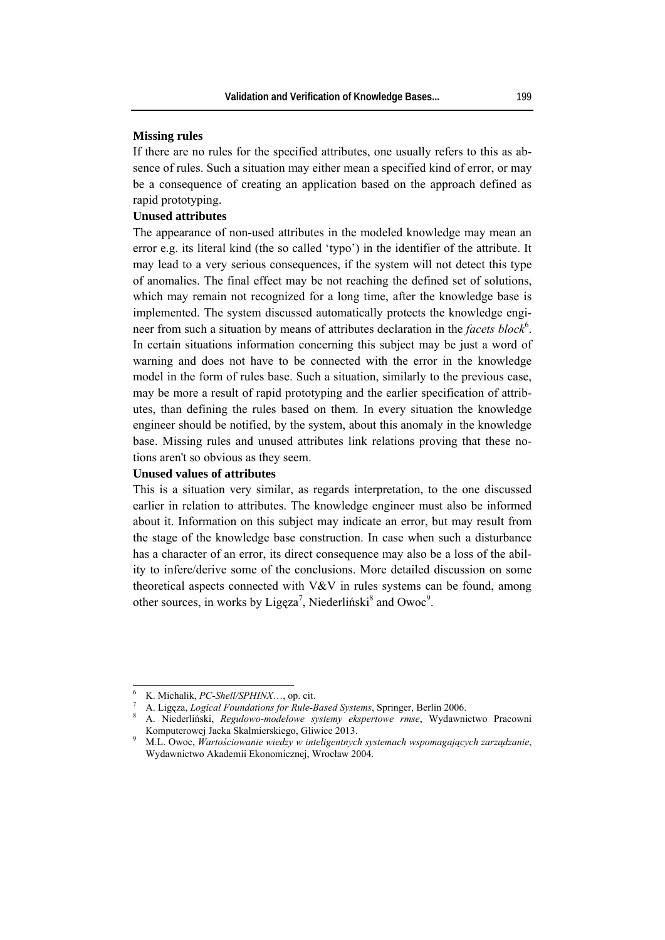#### **Missing rules**

If there are no rules for the specified attributes, one usually refers to this as absence of rules. Such a situation may either mean a specified kind of error, or may be a consequence of creating an application based on the approach defined as rapid prototyping.

#### **Unused attributes**

The appearance of non-used attributes in the modeled knowledge may mean an error e.g. its literal kind (the so called 'typo') in the identifier of the attribute. It may lead to a very serious consequences, if the system will not detect this type of anomalies. The final effect may be not reaching the defined set of solutions, which may remain not recognized for a long time, after the knowledge base is implemented. The system discussed automatically protects the knowledge engineer from such a situation by means of attributes declaration in the *facets block*<sup>6</sup>. In certain situations information concerning this subject may be just a word of warning and does not have to be connected with the error in the knowledge model in the form of rules base. Such a situation, similarly to the previous case, may be more a result of rapid prototyping and the earlier specification of attributes, than defining the rules based on them. In every situation the knowledge engineer should be notified, by the system, about this anomaly in the knowledge base. Missing rules and unused attributes link relations proving that these notions aren't so obvious as they seem.

#### **Unused values of attributes**

This is a situation very similar, as regards interpretation, to the one discussed earlier in relation to attributes. The knowledge engineer must also be informed about it. Information on this subject may indicate an error, but may result from the stage of the knowledge base construction. In case when such a disturbance has a character of an error, its direct consequence may also be a loss of the ability to infere/derive some of the conclusions. More detailed discussion on some theoretical aspects connected with V&V in rules systems can be found, among other sources, in works by Ligęza<sup>7</sup>, Niederliński<sup>8</sup> and Owoc<sup>9</sup>.

 $\overline{\phantom{a}}$ 

<sup>6</sup> K. Michalik, *PC-Shell/SPHINX*…, op. cit. 7

A. Ligęza, *Logical Foundations for Rule-Based Systems*, Springer, Berlin 2006. 8

A. Niederliński, *Regułowo-modelowe systemy ekspertowe rmse*, Wydawnictwo Pracowni Komputerowej Jacka Skalmierskiego, Gliwice 2013.

M.L. Owoc, *Wartościowanie wiedzy w inteligentnych systemach wspomagających zarządzanie*, Wydawnictwo Akademii Ekonomicznej, Wrocław 2004.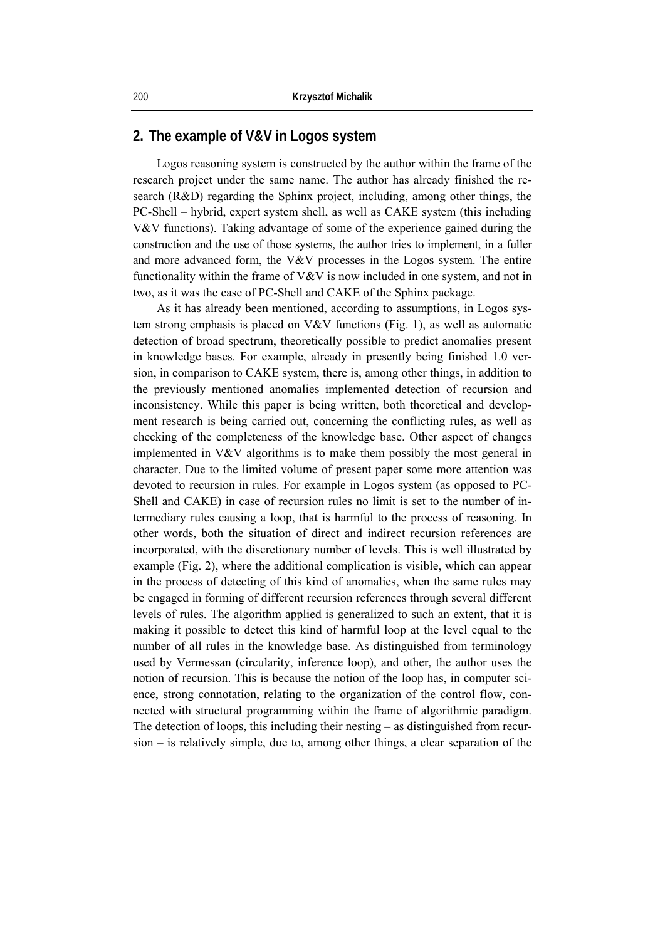# **2. The example of V&V in Logos system**

Logos reasoning system is constructed by the author within the frame of the research project under the same name. The author has already finished the research (R&D) regarding the Sphinx project, including, among other things, the PC-Shell – hybrid, expert system shell, as well as CAKE system (this including V&V functions). Taking advantage of some of the experience gained during the construction and the use of those systems, the author tries to implement, in a fuller and more advanced form, the V&V processes in the Logos system. The entire functionality within the frame of V&V is now included in one system, and not in two, as it was the case of PC-Shell and CAKE of the Sphinx package.

As it has already been mentioned, according to assumptions, in Logos system strong emphasis is placed on V&V functions (Fig. 1), as well as automatic detection of broad spectrum, theoretically possible to predict anomalies present in knowledge bases. For example, already in presently being finished 1.0 version, in comparison to CAKE system, there is, among other things, in addition to the previously mentioned anomalies implemented detection of recursion and inconsistency. While this paper is being written, both theoretical and development research is being carried out, concerning the conflicting rules, as well as checking of the completeness of the knowledge base. Other aspect of changes implemented in V&V algorithms is to make them possibly the most general in character. Due to the limited volume of present paper some more attention was devoted to recursion in rules. For example in Logos system (as opposed to PC-Shell and CAKE) in case of recursion rules no limit is set to the number of intermediary rules causing a loop, that is harmful to the process of reasoning. In other words, both the situation of direct and indirect recursion references are incorporated, with the discretionary number of levels. This is well illustrated by example (Fig. 2), where the additional complication is visible, which can appear in the process of detecting of this kind of anomalies, when the same rules may be engaged in forming of different recursion references through several different levels of rules. The algorithm applied is generalized to such an extent, that it is making it possible to detect this kind of harmful loop at the level equal to the number of all rules in the knowledge base. As distinguished from terminology used by Vermessan (circularity, inference loop), and other, the author uses the notion of recursion. This is because the notion of the loop has, in computer science, strong connotation, relating to the organization of the control flow, connected with structural programming within the frame of algorithmic paradigm. The detection of loops, this including their nesting – as distinguished from recursion – is relatively simple, due to, among other things, a clear separation of the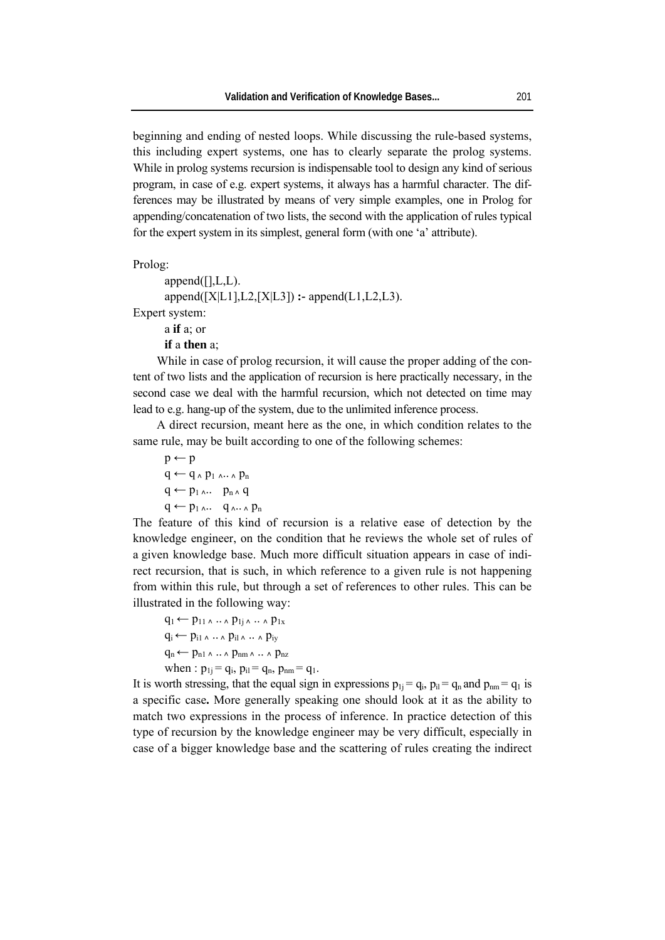beginning and ending of nested loops. While discussing the rule-based systems, this including expert systems, one has to clearly separate the prolog systems. While in prolog systems recursion is indispensable tool to design any kind of serious program, in case of e.g. expert systems, it always has a harmful character. The differences may be illustrated by means of very simple examples, one in Prolog for appending/concatenation of two lists, the second with the application of rules typical for the expert system in its simplest, general form (with one 'a' attribute).

Prolog:

```
append([], L, L).append([X|L1],L2,[X|L3]) :- append(L1,L2,L3). 
Expert system:
```
a **if** a; or **if** a **then** a;

While in case of prolog recursion, it will cause the proper adding of the content of two lists and the application of recursion is here practically necessary, in the second case we deal with the harmful recursion, which not detected on time may lead to e.g. hang-up of the system, due to the unlimited inference process.

A direct recursion, meant here as the one, in which condition relates to the same rule, may be built according to one of the following schemes:

```
p \leftarrow pq \leftarrow q_A p_1 \ldots q_nq \leftarrow p_1 \ldots p_n \wedge qq \leftarrow p_1 \ldots q_{\Lambda \cdots \Lambda} p_n
```
The feature of this kind of recursion is a relative ease of detection by the knowledge engineer, on the condition that he reviews the whole set of rules of a given knowledge base. Much more difficult situation appears in case of indirect recursion, that is such, in which reference to a given rule is not happening from within this rule, but through a set of references to other rules. This can be illustrated in the following way:

 $q_1 \leftarrow p_{11} \ldots p_{1i} \ldots p_{1x}$  $q_i \leftarrow p_{i1} \wedge \ldots \wedge p_{i1} \wedge \ldots \wedge p_{iy}$  $q_n \leftarrow p_{n1} \wedge \ldots \wedge p_{nm} \wedge \ldots \wedge p_{nz}$ when :  $p_{1i} = q_i$ ,  $p_{il} = q_n$ ,  $p_{nm} = q_1$ .

It is worth stressing, that the equal sign in expressions  $p_{1i} = q_i$ ,  $p_{i1} = q_n$  and  $p_{nm} = q_1$  is a specific case**.** More generally speaking one should look at it as the ability to match two expressions in the process of inference. In practice detection of this type of recursion by the knowledge engineer may be very difficult, especially in case of a bigger knowledge base and the scattering of rules creating the indirect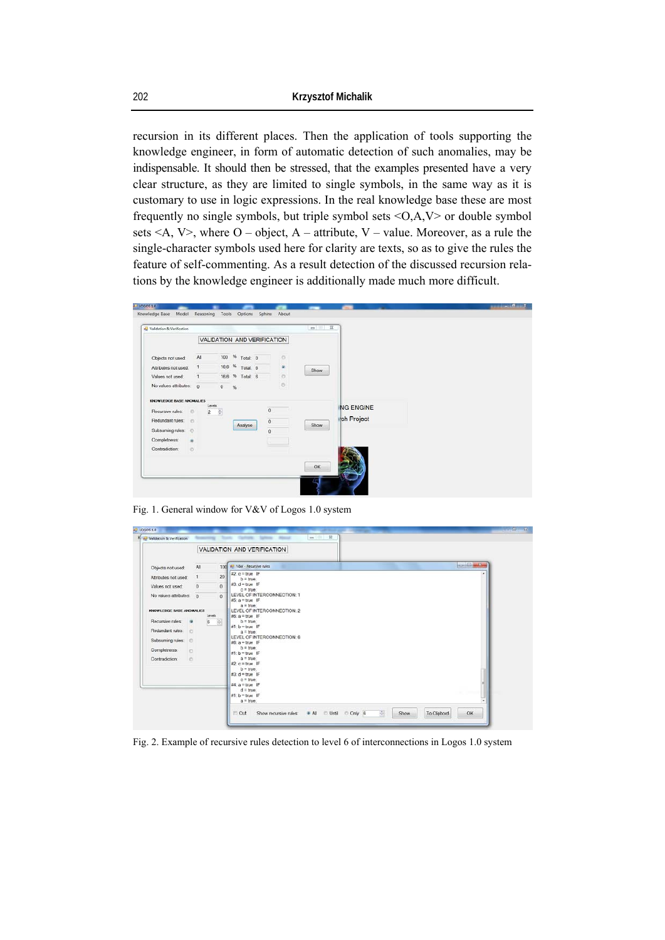recursion in its different places. Then the application of tools supporting the knowledge engineer, in form of automatic detection of such anomalies, may be indispensable. It should then be stressed, that the examples presented have a very clear structure, as they are limited to single symbols, in the same way as it is customary to use in logic expressions. In the real knowledge base these are most frequently no single symbols, but triple symbol sets  $\langle O, A, V \rangle$  or double symbol sets  $\leq A$ , V $>$ , where O – object, A – attribute, V – value. Moreover, as a rule the single-character symbols used here for clarity are texts, so as to give the rules the feature of self-commenting. As a result detection of the discussed recursion relations by the knowledge engineer is additionally made much more difficult.

| Knowledge Base<br>Model                                                                                                  | Reasoning                                       | Tools                       | Options         | Sphinx                                       | About   |          |                                |  |
|--------------------------------------------------------------------------------------------------------------------------|-------------------------------------------------|-----------------------------|-----------------|----------------------------------------------|---------|----------|--------------------------------|--|
| Validation & Verification                                                                                                |                                                 |                             |                 |                                              |         | $m = 12$ |                                |  |
|                                                                                                                          |                                                 | VALIDATION AND VERIFICATION |                 |                                              |         |          |                                |  |
| Objects not used:                                                                                                        | All                                             |                             | 100 % Total: 0  |                                              | O.      |          |                                |  |
| Attributes not used:                                                                                                     | $\mathbf{1}$                                    |                             | 16,6 % Total: 6 |                                              | ٠       | Show     |                                |  |
| Values not used:                                                                                                         | $\mathbf{I}$                                    |                             | 16,6 % Total: 6 |                                              | $\circ$ |          |                                |  |
| No values attributes: 0                                                                                                  |                                                 | $0 \%$                      |                 |                                              | $\circ$ |          |                                |  |
| KNOWLEDGE BASE ANONALIES<br>Recursive rules:<br>Redundant rules:<br>Subsuming rules: ©<br>Completness:<br>Contradiction: | $\circ$<br><b>D</b><br>$\frac{1}{2}$<br>$\circ$ | Levels<br>$2 \div$          | Analyse         | $\overline{0}$<br>$\mathbf 0$<br>$\mathbf 0$ |         | Show     | <b>NG ENGINE</b><br>ch Project |  |
|                                                                                                                          |                                                 |                             |                 |                                              |         | OK       |                                |  |

Fig. 1. General window for V&V of Logos 1.0 system

|                              | VALIDATION AND VERIFICATION |                                 |                                                                |  |  |  |  |  |  |
|------------------------------|-----------------------------|---------------------------------|----------------------------------------------------------------|--|--|--|--|--|--|
| Objects not used:            | All                         | 100                             | <b><i><u>ROBERT WAS THE</u></i></b><br>V&V - Recursive rules   |  |  |  |  |  |  |
| Attributes not used:         | $\mathbf{1}$                | 20                              | #2 $c = true$ IF<br>$b = true$                                 |  |  |  |  |  |  |
| Values not used:             | $\theta$                    | 0                               | $N3$ : $d = true$ IF<br>$c = true$                             |  |  |  |  |  |  |
| No values attributes 0       |                             | 0 <sup>1</sup>                  | LEVEL OF INTERCONNECTION: 1<br>#5: $a = true$ IF               |  |  |  |  |  |  |
| KNOWLEDGE BASE ANOMALIES     |                             | Levels                          | $a = true$<br>LEVEL OF INTERCONNECTION: 2<br>$M6: a = true$ IF |  |  |  |  |  |  |
| Recursive rules:             |                             | 6<br>$\frac{a}{\left a\right }$ | $b = true$                                                     |  |  |  |  |  |  |
| Redundant rules:<br><b>D</b> |                             |                                 | #1: b = true IF<br>$a = true$                                  |  |  |  |  |  |  |
| Subsuming rules:<br>$\circ$  |                             |                                 | LEVEL OF INTERCONNECTION: 6<br>$MB$ : $a = true$ IF            |  |  |  |  |  |  |
| Completness:<br>$\circ$      |                             |                                 | $b = true$                                                     |  |  |  |  |  |  |
| e.<br>Contradiction:         |                             |                                 | $#1$ : b = true IF<br>$a = true$                               |  |  |  |  |  |  |
|                              |                             |                                 | $42$ : $c = true$ IF                                           |  |  |  |  |  |  |
|                              |                             |                                 | $b = true$<br>#3: $d = true$ IF                                |  |  |  |  |  |  |
|                              |                             |                                 | $c = true$<br>#4: $a = true$ IF                                |  |  |  |  |  |  |
|                              |                             |                                 | $d = true$                                                     |  |  |  |  |  |  |
|                              |                             |                                 | $N1: b = true$ IF<br>$a = true$                                |  |  |  |  |  |  |

Fig. 2. Example of recursive rules detection to level 6 of interconnections in Logos 1.0 system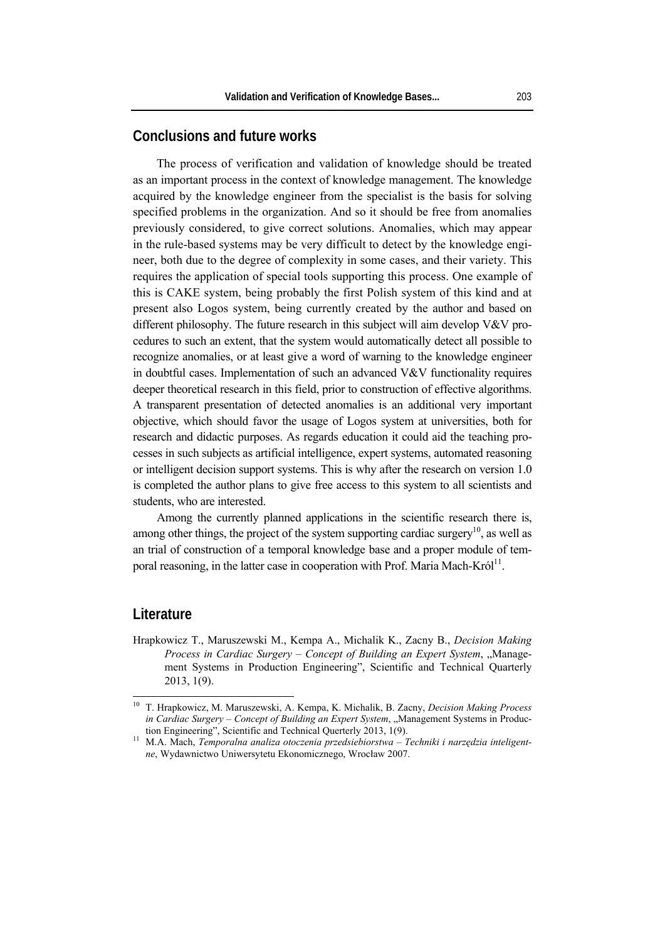# **Conclusions and future works**

The process of verification and validation of knowledge should be treated as an important process in the context of knowledge management. The knowledge acquired by the knowledge engineer from the specialist is the basis for solving specified problems in the organization. And so it should be free from anomalies previously considered, to give correct solutions. Anomalies, which may appear in the rule-based systems may be very difficult to detect by the knowledge engineer, both due to the degree of complexity in some cases, and their variety. This requires the application of special tools supporting this process. One example of this is CAKE system, being probably the first Polish system of this kind and at present also Logos system, being currently created by the author and based on different philosophy. The future research in this subject will aim develop V&V procedures to such an extent, that the system would automatically detect all possible to recognize anomalies, or at least give a word of warning to the knowledge engineer in doubtful cases. Implementation of such an advanced V&V functionality requires deeper theoretical research in this field, prior to construction of effective algorithms. A transparent presentation of detected anomalies is an additional very important objective, which should favor the usage of Logos system at universities, both for research and didactic purposes. As regards education it could aid the teaching processes in such subjects as artificial intelligence, expert systems, automated reasoning or intelligent decision support systems. This is why after the research on version 1.0 is completed the author plans to give free access to this system to all scientists and students, who are interested.

Among the currently planned applications in the scientific research there is, among other things, the project of the system supporting cardiac surgery<sup>10</sup>, as well as an trial of construction of a temporal knowledge base and a proper module of temporal reasoning, in the latter case in cooperation with Prof. Maria Mach-Król<sup>11</sup>.

### **Literature**

 $\overline{\phantom{a}}$ 

Hrapkowicz T., Maruszewski M., Kempa A., Michalik K., Zacny B., *Decision Making Process in Cardiac Surgery – Concept of Building an Expert System, "Manage*ment Systems in Production Engineering", Scientific and Technical Quarterly 2013, 1(9).

<sup>10</sup> T. Hrapkowicz, M. Maruszewski, A. Kempa, K. Michalik, B. Zacny, *Decision Making Process in Cardiac Surgery – Concept of Building an Expert System*, "Management Systems in Produc-

tion Engineering", Scientific and Technical Querterly 2013, 1(9). 11 M.A. Mach, *Temporalna analiza otoczenia przedsiebiorstwa – Techniki i narzędzia inteligentne*, Wydawnictwo Uniwersytetu Ekonomicznego, Wrocław 2007.